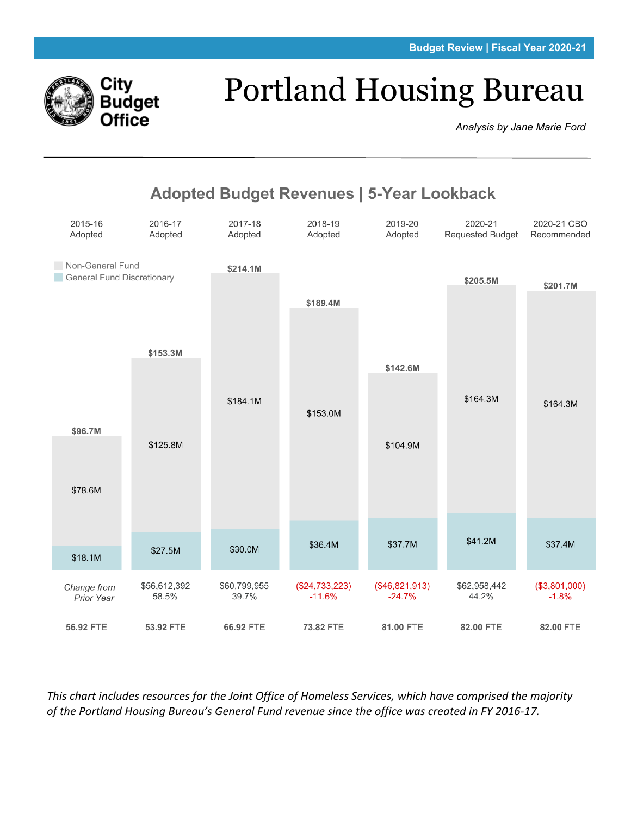

# Portland Housing Bureau

*Analysis by Jane Marie Ford*



*This chart includes resources for the Joint Office of Homeless Services, which have comprised the majority of the Portland Housing Bureau's General Fund revenue since the office was created in FY 2016-17.*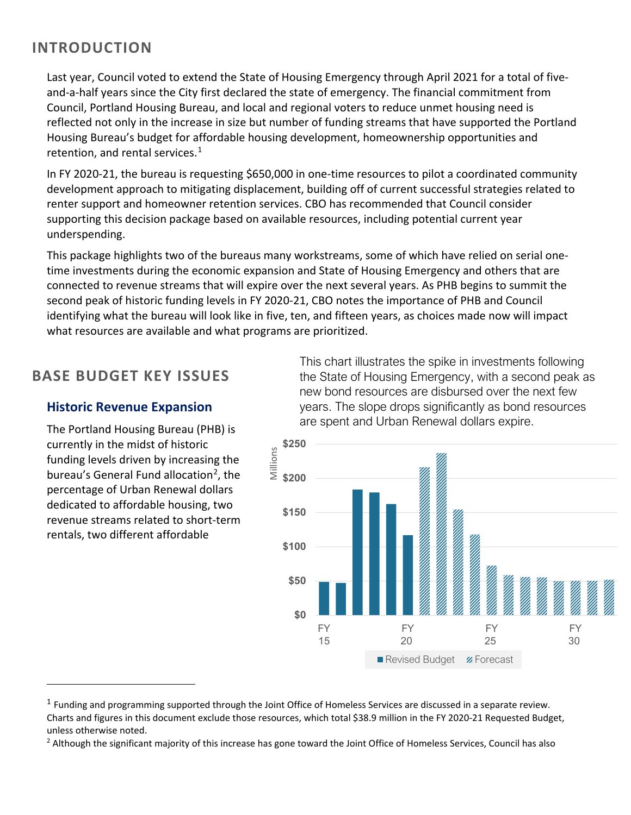## **INTRODUCTION**

Last year, Council voted to extend the State of Housing Emergency through April 2021 for a total of fiveand-a-half years since the City first declared the state of emergency. The financial commitment from Council, Portland Housing Bureau, and local and regional voters to reduce unmet housing need is reflected not only in the increase in size but number of funding streams that have supported the Portland Housing Bureau's budget for affordable housing development, homeownership opportunities and retention, and rental services. $1$ 

In FY 2020-21, the bureau is requesting \$650,000 in one-time resources to pilot a coordinated community development approach to mitigating displacement, building off of current successful strategies related to renter support and homeowner retention services. CBO has recommended that Council consider supporting this decision package based on available resources, including potential current year underspending.

This package highlights two of the bureaus many workstreams, some of which have relied on serial onetime investments during the economic expansion and State of Housing Emergency and others that are connected to revenue streams that will expire over the next several years. As PHB begins to summit the second peak of historic funding levels in FY 2020-21, CBO notes the importance of PHB and Council identifying what the bureau will look like in five, ten, and fifteen years, as choices made now will impact what resources are available and what programs are prioritized.

## **BASE BUDGET KEY ISSUES**

### **Historic Revenue Expansion**

The Portland Housing Bureau (PHB) is currently in the midst of historic funding levels driven by increasing the bureau's General Fund allocation<sup>[2](#page-1-1)</sup>, the percentage of Urban Renewal dollars dedicated to affordable housing, two revenue streams related to short-term rentals, two different affordable

This chart illustrates the spike in investments following the State of Housing Emergency, with a second peak as new bond resources are disbursed over the next few years. The slope drops significantly as bond resources are spent and Urban Renewal dollars expire.



<span id="page-1-0"></span> $1$  Funding and programming supported through the Joint Office of Homeless Services are discussed in a separate review. Charts and figures in this document exclude those resources, which total \$38.9 million in the FY 2020-21 Requested Budget, unless otherwise noted.

<span id="page-1-1"></span> $<sup>2</sup>$  Although the significant majority of this increase has gone toward the Joint Office of Homeless Services, Council has also</sup>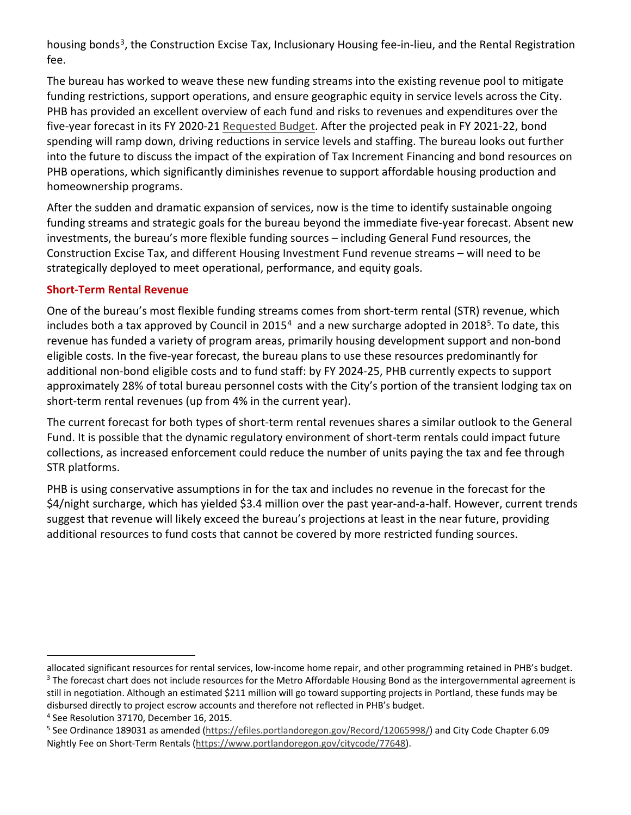housing bonds<sup>[3](#page-2-0)</sup>, the Construction Excise Tax, Inclusionary Housing fee-in-lieu, and the Rental Registration fee.

The bureau has worked to weave these new funding streams into the existing revenue pool to mitigate funding restrictions, support operations, and ensure geographic equity in service levels across the City. PHB has provided an excellent overview of each fund and risks to revenues and expenditures over the five-year forecast in its FY 2020-21 [Requested Budget.](https://www.portlandoregon.gov/cbo/article/752772) After the projected peak in FY 2021-22, bond spending will ramp down, driving reductions in service levels and staffing. The bureau looks out further into the future to discuss the impact of the expiration of Tax Increment Financing and bond resources on PHB operations, which significantly diminishes revenue to support affordable housing production and homeownership programs.

After the sudden and dramatic expansion of services, now is the time to identify sustainable ongoing funding streams and strategic goals for the bureau beyond the immediate five-year forecast. Absent new investments, the bureau's more flexible funding sources – including General Fund resources, the Construction Excise Tax, and different Housing Investment Fund revenue streams – will need to be strategically deployed to meet operational, performance, and equity goals.

#### **Short-Term Rental Revenue**

One of the bureau's most flexible funding streams comes from short-term rental (STR) revenue, which includes both a tax approved by Council in 2015<sup>[4](#page-2-1)</sup> and a new surcharge adopted in 2018<sup>5</sup>. To date, this revenue has funded a variety of program areas, primarily housing development support and non-bond eligible costs. In the five-year forecast, the bureau plans to use these resources predominantly for additional non-bond eligible costs and to fund staff: by FY 2024-25, PHB currently expects to support approximately 28% of total bureau personnel costs with the City's portion of the transient lodging tax on short-term rental revenues (up from 4% in the current year).

The current forecast for both types of short-term rental revenues shares a similar outlook to the General Fund. It is possible that the dynamic regulatory environment of short-term rentals could impact future collections, as increased enforcement could reduce the number of units paying the tax and fee through STR platforms.

PHB is using conservative assumptions in for the tax and includes no revenue in the forecast for the \$4/night surcharge, which has yielded \$3.4 million over the past year-and-a-half. However, current trends suggest that revenue will likely exceed the bureau's projections at least in the near future, providing additional resources to fund costs that cannot be covered by more restricted funding sources.

<span id="page-2-0"></span>allocated significant resources for rental services, low-income home repair, and other programming retained in PHB's budget. <sup>3</sup> The forecast chart does not include resources for the Metro Affordable Housing Bond as the intergovernmental agreement is still in negotiation. Although an estimated \$211 million will go toward supporting projects in Portland, these funds may be disbursed directly to project escrow accounts and therefore not reflected in PHB's budget.

<span id="page-2-1"></span><sup>4</sup> See Resolution 37170, December 16, 2015.

<span id="page-2-2"></span><sup>5</sup> See Ordinance 189031 as amended [\(https://efiles.portlandoregon.gov/Record/12065998/\)](https://efiles.portlandoregon.gov/Record/12065998/) and City Code Chapter 6.09 Nightly Fee on Short-Term Rentals [\(https://www.portlandoregon.gov/citycode/77648\)](https://www.portlandoregon.gov/citycode/77648).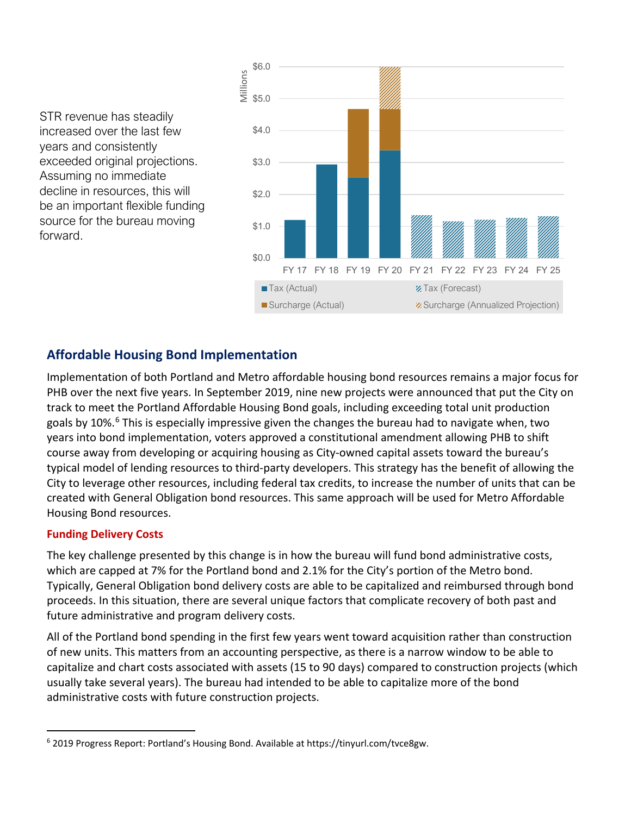STR revenue has steadily increased over the last few years and consistently exceeded original projections. Assuming no immediate decline in resources, this will be an important flexible funding source for the bureau moving forward.



## **Affordable Housing Bond Implementation**

Implementation of both Portland and Metro affordable housing bond resources remains a major focus for PHB over the next five years. In September 2019, nine new projects were announced that put the City on track to meet the Portland Affordable Housing Bond goals, including exceeding total unit production goals by 10%.<sup>[6](#page-3-0)</sup> This is especially impressive given the changes the bureau had to navigate when, two years into bond implementation, voters approved a constitutional amendment allowing PHB to shift course away from developing or acquiring housing as City-owned capital assets toward the bureau's typical model of lending resources to third-party developers. This strategy has the benefit of allowing the City to leverage other resources, including federal tax credits, to increase the number of units that can be created with General Obligation bond resources. This same approach will be used for Metro Affordable Housing Bond resources.

#### **Funding Delivery Costs**

The key challenge presented by this change is in how the bureau will fund bond administrative costs, which are capped at 7% for the Portland bond and 2.1% for the City's portion of the Metro bond. Typically, General Obligation bond delivery costs are able to be capitalized and reimbursed through bond proceeds. In this situation, there are several unique factors that complicate recovery of both past and future administrative and program delivery costs.

All of the Portland bond spending in the first few years went toward acquisition rather than construction of new units. This matters from an accounting perspective, as there is a narrow window to be able to capitalize and chart costs associated with assets (15 to 90 days) compared to construction projects (which usually take several years). The bureau had intended to be able to capitalize more of the bond administrative costs with future construction projects.

<span id="page-3-0"></span> $6$  2019 Progress Report: Portland's Housing Bond. Available at https://tinyurl.com/tvce8gw.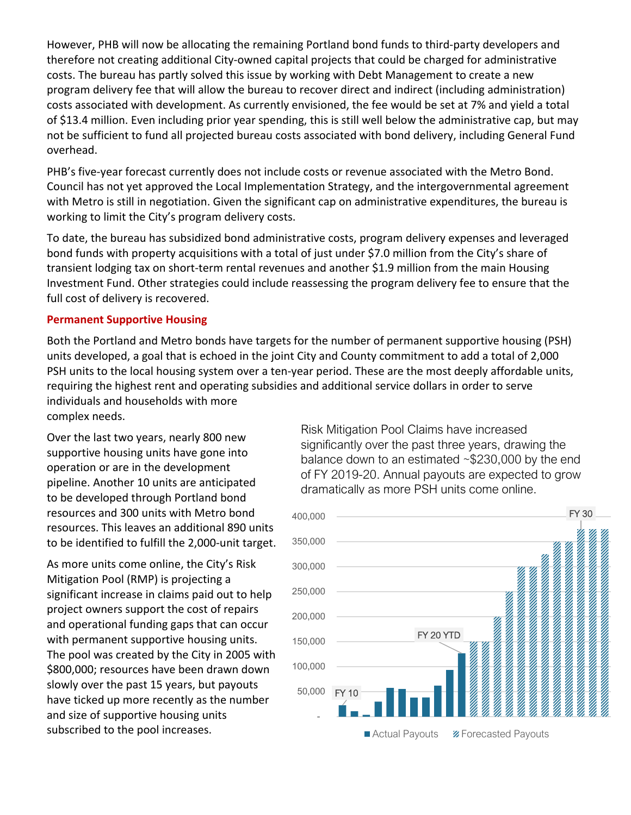However, PHB will now be allocating the remaining Portland bond funds to third-party developers and therefore not creating additional City-owned capital projects that could be charged for administrative costs. The bureau has partly solved this issue by working with Debt Management to create a new program delivery fee that will allow the bureau to recover direct and indirect (including administration) costs associated with development. As currently envisioned, the fee would be set at 7% and yield a total of \$13.4 million. Even including prior year spending, this is still well below the administrative cap, but may not be sufficient to fund all projected bureau costs associated with bond delivery, including General Fund overhead.

PHB's five-year forecast currently does not include costs or revenue associated with the Metro Bond. Council has not yet approved the Local Implementation Strategy, and the intergovernmental agreement with Metro is still in negotiation. Given the significant cap on administrative expenditures, the bureau is working to limit the City's program delivery costs.

To date, the bureau has subsidized bond administrative costs, program delivery expenses and leveraged bond funds with property acquisitions with a total of just under \$7.0 million from the City's share of transient lodging tax on short-term rental revenues and another \$1.9 million from the main Housing Investment Fund. Other strategies could include reassessing the program delivery fee to ensure that the full cost of delivery is recovered.

#### **Permanent Supportive Housing**

Both the Portland and Metro bonds have targets for the number of permanent supportive housing (PSH) units developed, a goal that is echoed in the joint City and County commitment to add a total of 2,000 PSH units to the local housing system over a ten-year period. These are the most deeply affordable units, requiring the highest rent and operating subsidies and additional service dollars in order to serve individuals and households with more complex needs.

Over the last two years, nearly 800 new supportive housing units have gone into operation or are in the development pipeline. Another 10 units are anticipated to be developed through Portland bond resources and 300 units with Metro bond resources. This leaves an additional 890 units to be identified to fulfill the 2,000-unit target.

As more units come online, the City's Risk Mitigation Pool (RMP) is projecting a significant increase in claims paid out to help project owners support the cost of repairs and operational funding gaps that can occur with permanent supportive housing units. The pool was created by the City in 2005 with \$800,000; resources have been drawn down slowly over the past 15 years, but payouts have ticked up more recently as the number and size of supportive housing units subscribed to the pool increases.

Risk Mitigation Pool Claims have increased significantly over the past three years, drawing the balance down to an estimated ~\$230,000 by the end of FY 2019-20. Annual payouts are expected to grow dramatically as more PSH units come online.

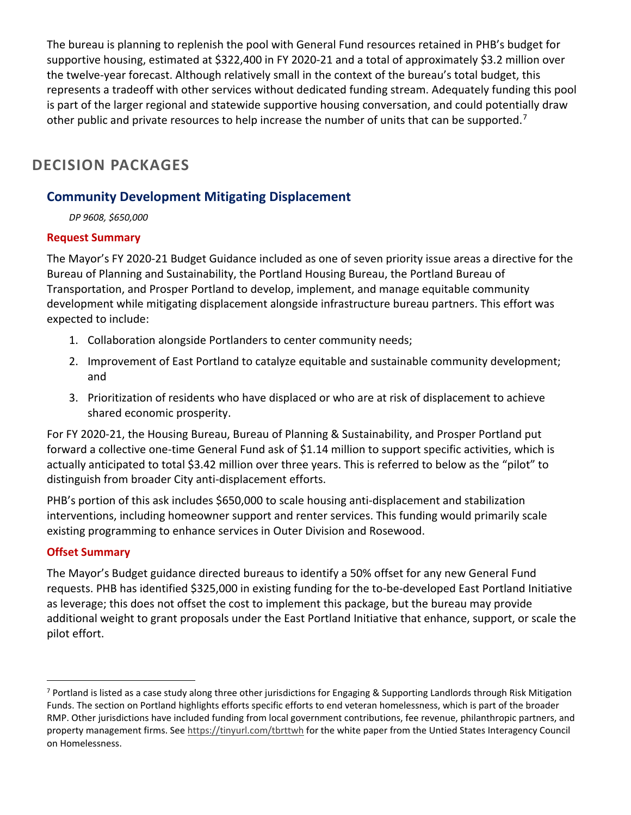The bureau is planning to replenish the pool with General Fund resources retained in PHB's budget for supportive housing, estimated at \$322,400 in FY 2020-21 and a total of approximately \$3.2 million over the twelve-year forecast. Although relatively small in the context of the bureau's total budget, this represents a tradeoff with other services without dedicated funding stream. Adequately funding this pool is part of the larger regional and statewide supportive housing conversation, and could potentially draw other public and private resources to help increase the number of units that can be supported.<sup>[7](#page-5-0)</sup>

# **DECISION PACKAGES**

## **Community Development Mitigating Displacement**

*DP 9608, \$650,000* 

#### **Request Summary**

The Mayor's FY 2020-21 Budget Guidance included as one of seven priority issue areas a directive for the Bureau of Planning and Sustainability, the Portland Housing Bureau, the Portland Bureau of Transportation, and Prosper Portland to develop, implement, and manage equitable community development while mitigating displacement alongside infrastructure bureau partners. This effort was expected to include:

- 1. Collaboration alongside Portlanders to center community needs;
- 2. Improvement of East Portland to catalyze equitable and sustainable community development; and
- 3. Prioritization of residents who have displaced or who are at risk of displacement to achieve shared economic prosperity.

For FY 2020-21, the Housing Bureau, Bureau of Planning & Sustainability, and Prosper Portland put forward a collective one-time General Fund ask of \$1.14 million to support specific activities, which is actually anticipated to total \$3.42 million over three years. This is referred to below as the "pilot" to distinguish from broader City anti-displacement efforts.

PHB's portion of this ask includes \$650,000 to scale housing anti-displacement and stabilization interventions, including homeowner support and renter services. This funding would primarily scale existing programming to enhance services in Outer Division and Rosewood.

#### **Offset Summary**

The Mayor's Budget guidance directed bureaus to identify a 50% offset for any new General Fund requests. PHB has identified \$325,000 in existing funding for the to-be-developed East Portland Initiative as leverage; this does not offset the cost to implement this package, but the bureau may provide additional weight to grant proposals under the East Portland Initiative that enhance, support, or scale the pilot effort.

<span id="page-5-0"></span> $7$  Portland is listed as a case study along three other jurisdictions for Engaging & Supporting Landlords through Risk Mitigation Funds. The section on Portland highlights efforts specific efforts to end veteran homelessness, which is part of the broader RMP. Other jurisdictions have included funding from local government contributions, fee revenue, philanthropic partners, and property management firms. See<https://tinyurl.com/tbrttwh> for the white paper from the Untied States Interagency Council on Homelessness.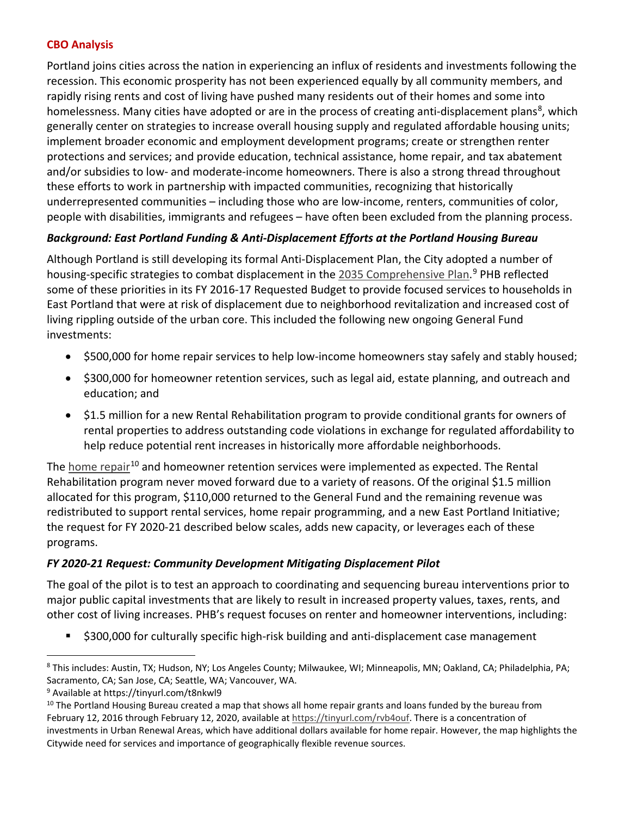#### **CBO Analysis**

Portland joins cities across the nation in experiencing an influx of residents and investments following the recession. This economic prosperity has not been experienced equally by all community members, and rapidly rising rents and cost of living have pushed many residents out of their homes and some into homelessness. Many cities have adopted or are in the process of creating anti-displacement plans<sup>[8](#page-6-0)</sup>, which generally center on strategies to increase overall housing supply and regulated affordable housing units; implement broader economic and employment development programs; create or strengthen renter protections and services; and provide education, technical assistance, home repair, and tax abatement and/or subsidies to low- and moderate-income homeowners. There is also a strong thread throughout these efforts to work in partnership with impacted communities, recognizing that historically underrepresented communities – including those who are low-income, renters, communities of color, people with disabilities, immigrants and refugees – have often been excluded from the planning process.

#### *Background: East Portland Funding & Anti-Displacement Efforts at the Portland Housing Bureau*

Although Portland is still developing its formal Anti-Displacement Plan, the City adopted a number of housing-specific strategies to combat displacement in the [2035 Comprehensive Plan.](https://tinyurl.com/t8nkwl9)<sup>[9](#page-6-1)</sup> PHB reflected some of these priorities in its FY 2016-17 Requested Budget to provide focused services to households in East Portland that were at risk of displacement due to neighborhood revitalization and increased cost of living rippling outside of the urban core. This included the following new ongoing General Fund investments:

- \$500,000 for home repair services to help low-income homeowners stay safely and stably housed;
- \$300,000 for homeowner retention services, such as legal aid, estate planning, and outreach and education; and
- \$1.5 million for a new Rental Rehabilitation program to provide conditional grants for owners of rental properties to address outstanding code violations in exchange for regulated affordability to help reduce potential rent increases in historically more affordable neighborhoods.

The [home repair](http://pdx.maps.arcgis.com/apps/webappviewer/index.html?id=00313132b12741dea9e53aa14918af42)<sup>[10](#page-6-2)</sup> and homeowner retention services were implemented as expected. The Rental Rehabilitation program never moved forward due to a variety of reasons. Of the original \$1.5 million allocated for this program, \$110,000 returned to the General Fund and the remaining revenue was redistributed to support rental services, home repair programming, and a new East Portland Initiative; the request for FY 2020-21 described below scales, adds new capacity, or leverages each of these programs.

#### *FY 2020-21 Request: Community Development Mitigating Displacement Pilot*

The goal of the pilot is to test an approach to coordinating and sequencing bureau interventions prior to major public capital investments that are likely to result in increased property values, taxes, rents, and other cost of living increases. PHB's request focuses on renter and homeowner interventions, including:

\$300,000 for culturally specific high-risk building and anti-displacement case management

<span id="page-6-0"></span><sup>8</sup> This includes: Austin, TX; Hudson, NY; Los Angeles County; Milwaukee, WI; Minneapolis, MN; Oakland, CA; Philadelphia, PA; Sacramento, CA; San Jose, CA; Seattle, WA; Vancouver, WA.

<span id="page-6-1"></span><sup>9</sup> Available at https://tinyurl.com/t8nkwl9

<span id="page-6-2"></span><sup>&</sup>lt;sup>10</sup> The Portland Housing Bureau created a map that shows all home repair grants and loans funded by the bureau from February 12, 2016 through February 12, 2020, available a[t https://tinyurl.com/rvb4ouf.](https://tinyurl.com/rvb4ouf) There is a concentration of investments in Urban Renewal Areas, which have additional dollars available for home repair. However, the map highlights the Citywide need for services and importance of geographically flexible revenue sources.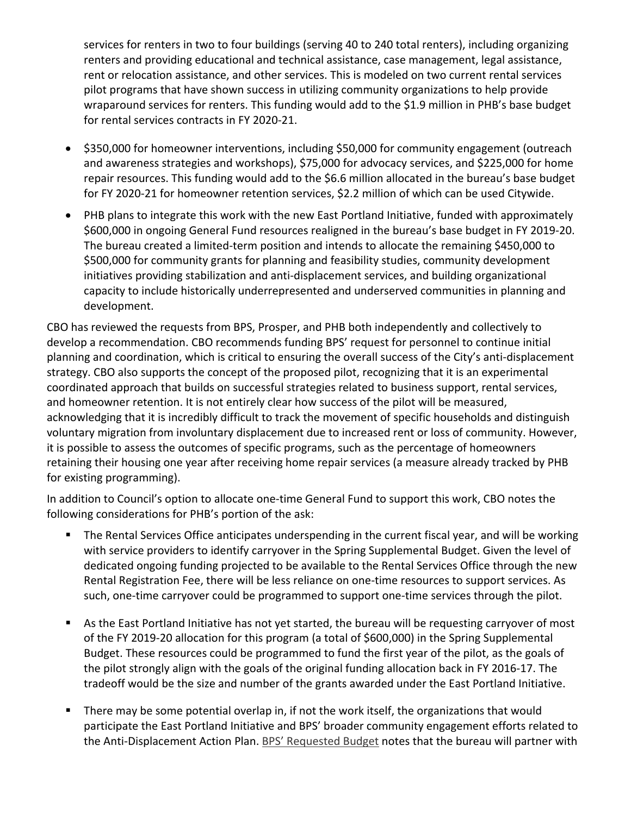services for renters in two to four buildings (serving 40 to 240 total renters), including organizing renters and providing educational and technical assistance, case management, legal assistance, rent or relocation assistance, and other services. This is modeled on two current rental services pilot programs that have shown success in utilizing community organizations to help provide wraparound services for renters. This funding would add to the \$1.9 million in PHB's base budget for rental services contracts in FY 2020-21.

- \$350,000 for homeowner interventions, including \$50,000 for community engagement (outreach and awareness strategies and workshops), \$75,000 for advocacy services, and \$225,000 for home repair resources. This funding would add to the \$6.6 million allocated in the bureau's base budget for FY 2020-21 for homeowner retention services, \$2.2 million of which can be used Citywide.
- PHB plans to integrate this work with the new East Portland Initiative, funded with approximately \$600,000 in ongoing General Fund resources realigned in the bureau's base budget in FY 2019-20. The bureau created a limited-term position and intends to allocate the remaining \$450,000 to \$500,000 for community grants for planning and feasibility studies, community development initiatives providing stabilization and anti-displacement services, and building organizational capacity to include historically underrepresented and underserved communities in planning and development.

CBO has reviewed the requests from BPS, Prosper, and PHB both independently and collectively to develop a recommendation. CBO recommends funding BPS' request for personnel to continue initial planning and coordination, which is critical to ensuring the overall success of the City's anti-displacement strategy. CBO also supports the concept of the proposed pilot, recognizing that it is an experimental coordinated approach that builds on successful strategies related to business support, rental services, and homeowner retention. It is not entirely clear how success of the pilot will be measured, acknowledging that it is incredibly difficult to track the movement of specific households and distinguish voluntary migration from involuntary displacement due to increased rent or loss of community. However, it is possible to assess the outcomes of specific programs, such as the percentage of homeowners retaining their housing one year after receiving home repair services (a measure already tracked by PHB for existing programming).

In addition to Council's option to allocate one-time General Fund to support this work, CBO notes the following considerations for PHB's portion of the ask:

- The Rental Services Office anticipates underspending in the current fiscal year, and will be working with service providers to identify carryover in the Spring Supplemental Budget. Given the level of dedicated ongoing funding projected to be available to the Rental Services Office through the new Rental Registration Fee, there will be less reliance on one-time resources to support services. As such, one-time carryover could be programmed to support one-time services through the pilot.
- As the East Portland Initiative has not yet started, the bureau will be requesting carryover of most of the FY 2019-20 allocation for this program (a total of \$600,000) in the Spring Supplemental Budget. These resources could be programmed to fund the first year of the pilot, as the goals of the pilot strongly align with the goals of the original funding allocation back in FY 2016-17. The tradeoff would be the size and number of the grants awarded under the East Portland Initiative.
- **There may be some potential overlap in, if not the work itself, the organizations that would** participate the East Portland Initiative and BPS' broader community engagement efforts related to the Anti-Displacement Action Plan. [BPS' Requested Budget](https://www.portlandoregon.gov/cbo/article/752708) notes that the bureau will partner with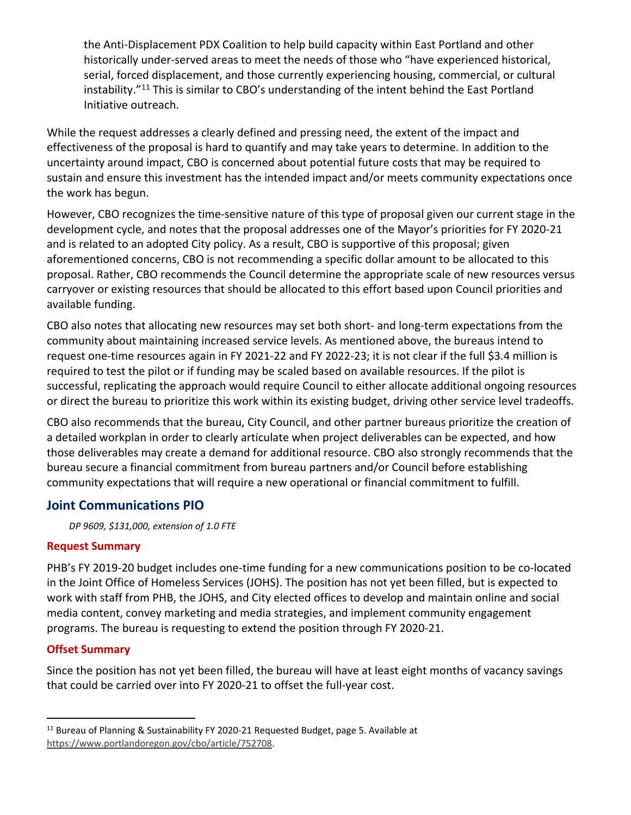the Anti-Displacement PDX Coalition to help build capacity within East Portland and other historically under-served areas to meet the needs of those who "have experienced historical, serial, forced displacement, and those currently experiencing housing, commercial, or cultural instability."<sup>[11](#page-8-0)</sup> This is similar to CBO's understanding of the intent behind the East Portland Initiative outreach.

While the request addresses a clearly defined and pressing need, the extent of the impact and effectiveness of the proposal is hard to quantify and may take years to determine. In addition to the uncertainty around impact, CBO is concerned about potential future costs that may be required to sustain and ensure this investment has the intended impact and/or meets community expectations once the work has begun.

However, CBO recognizes the time-sensitive nature of this type of proposal given our current stage in the development cycle, and notes that the proposal addresses one of the Mayor's priorities for FY 2020-21 and is related to an adopted City policy. As a result, CBO is supportive of this proposal; given aforementioned concerns, CBO is not recommending a specific dollar amount to be allocated to this proposal. Rather, CBO recommends the Council determine the appropriate scale of new resources versus carryover or existing resources that should be allocated to this effort based upon Council priorities and available funding.

CBO also notes that allocating new resources may set both short- and long-term expectations from the community about maintaining increased service levels. As mentioned above, the bureaus intend to request one-time resources again in FY 2021-22 and FY 2022-23; it is not clear if the full \$3.4 million is required to test the pilot or if funding may be scaled based on available resources. If the pilot is successful, replicating the approach would require Council to either allocate additional ongoing resources or direct the bureau to prioritize this work within its existing budget, driving other service level tradeoffs.

CBO also recommends that the bureau, City Council, and other partner bureaus prioritize the creation of a detailed workplan in order to clearly articulate when project deliverables can be expected, and how those deliverables may create a demand for additional resource. CBO also strongly recommends that the bureau secure a financial commitment from bureau partners and/or Council before establishing community expectations that will require a new operational or financial commitment to fulfill.

#### **Joint Communications PIO**

*DP 9609, \$131,000, extension of 1.0 FTE* 

#### **Request Summary**

PHB's FY 2019-20 budget includes one-time funding for a new communications position to be co-located in the Joint Office of Homeless Services (JOHS). The position has not yet been filled, but is expected to work with staff from PHB, the JOHS, and City elected offices to develop and maintain online and social media content, convey marketing and media strategies, and implement community engagement programs. The bureau is requesting to extend the position through FY 2020-21.

#### **Offset Summary**

Since the position has not yet been filled, the bureau will have at least eight months of vacancy savings that could be carried over into FY 2020-21 to offset the full-year cost.

<span id="page-8-0"></span><sup>&</sup>lt;sup>11</sup> Bureau of Planning & Sustainability FY 2020-21 Requested Budget, page 5. Available at [https://www.portlandoregon.gov/cbo/article/752708.](https://www.portlandoregon.gov/cbo/article/752708)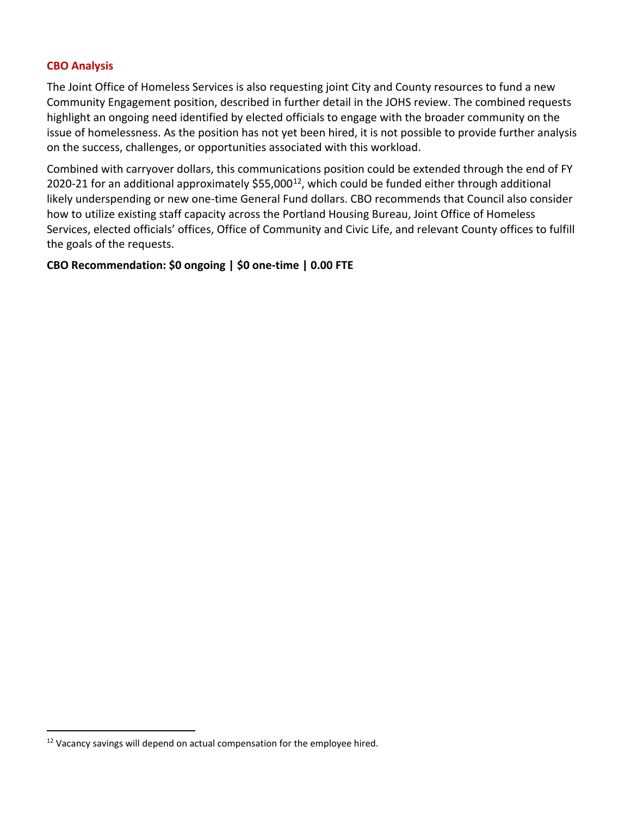#### **CBO Analysis**

The Joint Office of Homeless Services is also requesting joint City and County resources to fund a new Community Engagement position, described in further detail in the JOHS review. The combined requests highlight an ongoing need identified by elected officials to engage with the broader community on the issue of homelessness. As the position has not yet been hired, it is not possible to provide further analysis on the success, challenges, or opportunities associated with this workload.

Combined with carryover dollars, this communications position could be extended through the end of FY 2020-21 for an additional approximately \$55,000<sup>12</sup>, which could be funded either through additional likely underspending or new one-time General Fund dollars. CBO recommends that Council also consider how to utilize existing staff capacity across the Portland Housing Bureau, Joint Office of Homeless Services, elected officials' offices, Office of Community and Civic Life, and relevant County offices to fulfill the goals of the requests.

#### **CBO Recommendation: \$0 ongoing | \$0 one-time | 0.00 FTE**

<span id="page-9-0"></span> $12$  Vacancy savings will depend on actual compensation for the employee hired.